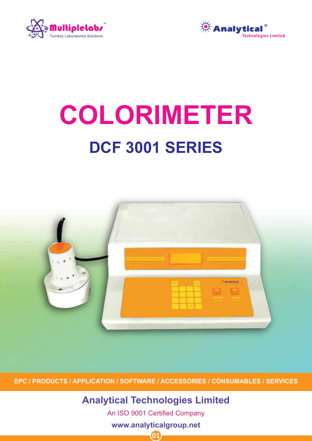



# **COLORIMETER DCF 3001 SERIES**



**EPC / PRODUCTS / APPLICATION / SOFTWARE / ACCESSORIES / CONSUMABLES / SERVICES**

**Analytical Technologies Limited**

An ISO 9001 Certified Company

**www.analyticalgroup.net**

![](_page_0_Picture_8.jpeg)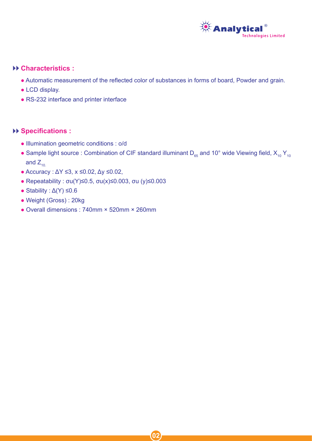![](_page_1_Picture_0.jpeg)

#### **Characteristics :**

- Automatic measurement of the reflected color of substances in forms of board, Powder and grain.
- LCD display.
- RS-232 interface and printer interface

#### **Specifications :**

- Illumination geometric conditions : o/d
- Sample light source : Combination of CIF standard illuminant D<sub>65</sub> and 10° wide Viewing field,  $X_{10}Y_{10}$ and  $Z_{10}$ .

 $\overline{\mathbf{0}}$ 

- Accuracy : ΔY ≤3, x ≤0.02, Δy ≤0.02,
- Repeatability : σu(Y)≤0.5, σu(x)≤0.003, σu (y)≤0.003
- Stability :  $\Delta$ (Y)  $\leq$ 0.6
- Weight (Gross) : 20kg
- Overall dimensions : 740mm × 520mm × 260mm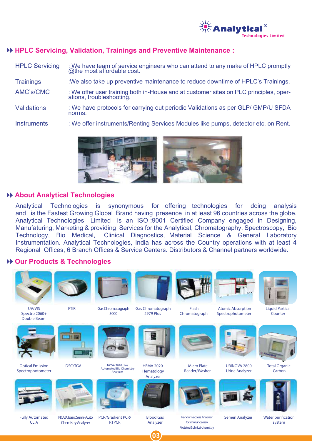![](_page_2_Picture_0.jpeg)

# **HPLC Servicing, Validation, Trainings and Preventive Maintenance :**

| <b>HPLC Servicing</b> | : We have team of service engineers who can attend to any make of HPLC promptly<br>@the most affordable cost. |
|-----------------------|---------------------------------------------------------------------------------------------------------------|
| <b>Trainings</b>      | : We also take up preventive maintenance to reduce downtime of HPLC's Trainings.                              |
| AMC's/CMC             | : We offer user training both in-House and at customer sites on PLC principles, operations, troubleshooting.  |
| <b>Validations</b>    | : We have protocols for carrying out periodic Validations as per GLP/ GMP/U SFDA<br>norms.                    |
| <b>Instruments</b>    | : We offer instruments/Renting Services Modules like pumps, detector etc. on Rent.                            |

![](_page_2_Picture_3.jpeg)

#### **About Analytical Technologies**

Analytical Technologies is synonymous for offering technologies for doing analysis and is the Fastest Growing Global Brand having presence in at least 96 countries across the globe. Analytical Technologies Limited is an ISO :9001 Certified Company engaged in Designing, Manufaturing, Marketing & providing Services for the Analytical, Chromatography, Spectroscopy, Bio Technology, Bio Medical, Clinical Diagnostics, Material Science & General Laboratory Instrumentation. Analytical Technologies, India has across the Country operations with at least 4 Regional Offices, 6 Branch Offices & Service Centers. Distributors & Channel partners worldwide.

#### **Our Products & Technologies**

![](_page_2_Picture_7.jpeg)

 $^{\prime}$ 03

Proteins & clinical chemistry